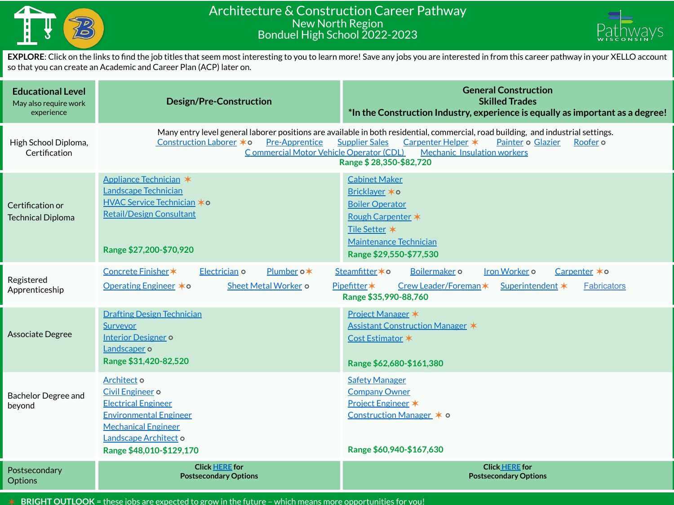

## Architecture & Construction Career Pathway New North Region Bonduel High School 2022-2023



**EXPLORE**: Click on the links to find the job titles that seem most interesting to you to learn more! Save any jobs you are interested in from this career pathway in your XELLO account so that you can create an Academic and Career Plan (ACP) later on.

| <b>Educational Level</b><br>May also require work<br>experience | <b>Design/Pre-Construction</b>                                                                                                                                                                                                                                                                                                                                                        | <b>General Construction</b><br><b>Skilled Trades</b><br>*In the Construction Industry, experience is equally as important as a degree!                                         |  |  |  |  |
|-----------------------------------------------------------------|---------------------------------------------------------------------------------------------------------------------------------------------------------------------------------------------------------------------------------------------------------------------------------------------------------------------------------------------------------------------------------------|--------------------------------------------------------------------------------------------------------------------------------------------------------------------------------|--|--|--|--|
| High School Diploma,<br>Certification                           | Many entry level general laborer positions are available in both residential, commercial, road building, and industrial settings.<br>Construction Laborer *0<br><b>Pre-Apprentice</b><br>Carpenter Helper *<br>Painter o Glazier<br><b>Supplier Sales</b><br>Roofer <sub>o</sub><br>Commercial Motor Vehicle Operator (CDL)<br>Mechanic Insulation workers<br>Range \$28,350-\$82,720 |                                                                                                                                                                                |  |  |  |  |
| Certification or<br><b>Technical Diploma</b>                    | Appliance Technician *<br>Landscape Technician<br><u>HVAC Service Technician</u> *o<br><b>Retail/Design Consultant</b><br>Range \$27,200-\$70,920                                                                                                                                                                                                                                     | <b>Cabinet Maker</b><br>Bricklaver * o<br><b>Boiler Operator</b><br>Rough Carpenter *<br>Tile Setter *<br><b>Maintenance Technician</b><br>Range \$29,550-\$77,530             |  |  |  |  |
| Registered<br>Apprenticeship                                    | Electrician o<br>Concrete Finisher *<br>Plumber o*<br>Operating Engineer <b>*</b> ○<br>Sheet Metal Worker o                                                                                                                                                                                                                                                                           | Steamfitter * o<br>Boilermaker o<br>Iron Worker o<br>Carpenter $*$ o<br>Pipefitter*<br>Crew Leader/Foreman*<br>Superintendent *<br><b>Fabricators</b><br>Range \$35,990-88,760 |  |  |  |  |
| <b>Associate Degree</b>                                         | <b>Drafting Design Technician</b><br><b>Surveyor</b><br><b>Interior Designer o</b><br>Landscaper o<br>Range \$31,420-82,520                                                                                                                                                                                                                                                           | Project Manager *<br>Assistant Construction Manager *<br>Cost Estimator *<br>Range \$62,680-\$161,380                                                                          |  |  |  |  |
| <b>Bachelor Degree and</b><br>beyond                            | Architect o<br>Civil Engineer o<br><b>Electrical Engineer</b><br><b>Environmental Engineer</b><br><b>Mechanical Engineer</b><br>Landscape Architect o<br>Range \$48,010-\$129,170                                                                                                                                                                                                     | <b>Safety Manager</b><br><b>Company Owner</b><br>Project Engineer *<br>Construction Manager * o<br>Range \$60,940-\$167,630                                                    |  |  |  |  |
| Postsecondary<br>Options                                        | <b>Click HERE for</b><br><b>Postsecondary Options</b>                                                                                                                                                                                                                                                                                                                                 | <b>Click HERE for</b><br><b>Postsecondary Options</b>                                                                                                                          |  |  |  |  |

✶ **BRIGHT OUTLOOK** = these jobs are expected to grow in the future – which means more opportunities for you!